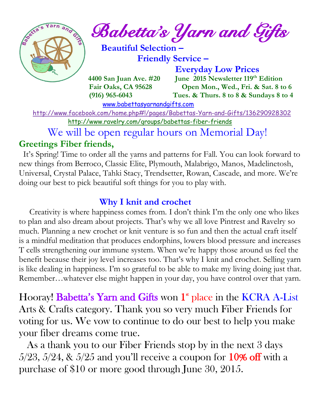

 $e^{\int e^{\arcsin(\pi/2-\pi/2)}}$  Babetta's Yarn and Gifts

 **Beautiful Selection – Friendly Service –**

 **Everyday Low Prices 4400 San Juan Ave. #20 June 2015 Newsletter 119<sup>th</sup> Edition Fair Oaks, CA 95628 Open Mon., Wed., Fri. & Sat. 8 to 6 (916) 965-6043 Tues. & Thurs. 8 to 8 & Sundays 8 to 4** 

[www.babettasyarnandgifts.com](http://www.babettasyarnandgifts.com/)

 <http://www.facebook.com/home.php#!/pages/Babettas-Yarn-and-Gifts/136290928302> <http://www.ravelry.com/groups/babettas-fiber-friends>

We will be open regular hours on Memorial Day!

# **Greetings Fiber friends,**

It's Spring! Time to order all the yarns and patterns for Fall. You can look forward to new things from Berroco, Classic Elite, Plymouth, Malabrigo, Manos, Madelinetosh, Universal, Crystal Palace, Tahki Stacy, Trendsetter, Rowan, Cascade, and more. We're doing our best to pick beautiful soft things for you to play with.

# **Why I knit and crochet**

 Creativity is where happiness comes from. I don't think I'm the only one who likes to plan and also dream about projects. That's why we all love Pintrest and Ravelry so much. Planning a new crochet or knit venture is so fun and then the actual craft itself is a mindful meditation that produces endorphins, lowers blood pressure and increases T cells strengthening our immune system. When we're happy those around us feel the benefit because their joy level increases too. That's why I knit and crochet. Selling yarn is like dealing in happiness. I'm so grateful to be able to make my living doing just that. Remember…whatever else might happen in your day, you have control over that yarn.

Hooray! Babetta's Yarn and Gifts won 1<sup>st</sup> place in the KCRA A-List Arts & Crafts category. Thank you so very much Fiber Friends for voting for us. We vow to continue to do our best to help you make your fiber dreams come true.

 As a thank you to our Fiber Friends stop by in the next 3 days  $5/23$ ,  $5/24$ , &  $5/25$  and you'll receive a coupon for  $10\%$  off with a purchase of \$10 or more good through June 30, 2015.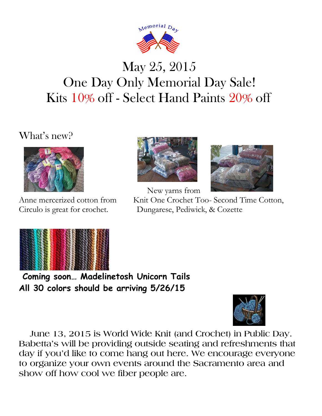

# May 25, 2015 One Day Only Memorial Day Sale! Kits 10% off - Select Hand Paints 20% off

What's new?





New yarns from



Anne mercerized cotton from Knit One Crochet Too- Second Time Cotton, Circulo is great for crochet. Dungarese, Pediwick, & Cozette



**Coming soon… Madelinetosh Unicorn Tails All 30 colors should be arriving 5/26/15**



 **June 13, 2015 is World Wide Knit (and Crochet) in Public Day. Babetta's will be providing outside seating and refreshments that day if you'd like to come hang out here. We encourage everyone to organize your own events around the Sacramento area and show off how cool we fiber people are.**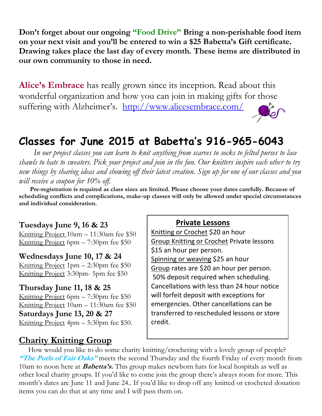**Don't forget about our ongoing "Food Drive" Bring a non-perishable food item on your next visit and you'll be entered to win a \$25 Babetta's Gift certificate. Drawing takes place the last day of every month. These items are distributed in our own community to those in need.**

**Alice's Embrace** has really grown since its inception. Read about this wonderful organization and how you can join in making gifts for those suffering with Alzheimer's. http://www.alicesembrace.com/

# **Classes for June 2015 at Babetta's 916-965-6043**

 *In our project classes you can learn to knit anything from scarves to socks to felted purses to lace shawls to hats to sweaters. Pick your project and join in the fun. Our knitters inspire each other to try new things by sharing ideas and showing off their latest creation. Sign up for one of our classes and you will receive a coupon for 10% off.*

 **Pre-registration is required as class sizes are limited. Please choose your dates carefully. Because of scheduling conflicts and complications, make-up classes will only be allowed under special circumstances and individual consideration.**

#### **Tuesdays June 9, 16 & 23**

Knitting Project 10am – 11:30am fee \$50 Knitting Project 6pm – 7:30pm fee \$50

#### **Wednesdays June 10, 17 & 24**

Knitting Project 1pm – 2:30pm fee \$50 Knitting Project 3:30pm- 5pm fee \$50

#### **Thursday June 11, 18 & 25**

Knitting Project 6pm – 7:30pm fee \$50 Knitting Project 10am – 11:30am fee \$50 **Saturdays June 13, 20 & 27** Knitting Project 4pm – 5:30pm fee \$50.

#### **Private Lessons**

Knitting or Crochet \$20 an hour Group Knitting or Crochet Private lessons \$15 an hour per person. Spinning or weaving \$25 an hour Group rates are \$20 an hour per person. 50% deposit required when scheduling. Cancellations with less than 24 hour notice will forfeit deposit with exceptions for emergencies. Other cancellations can be transferred to rescheduled lessons or store credit.

#### **Charity Knitting Group**

 How would you like to do some charity knitting/crocheting with a lovely group of people? **"The Purls of Fair Oaks"** meets the second Thursday and the fourth Friday of every month from 10am to noon here at **Babetta's.** This group makes newborn hats for local hospitals as well as other local charity groups. If you'd like to come join the group there's always room for more. This month's dates are June 11 and June 24.. If you'd like to drop off any knitted or crocheted donation items you can do that at any time and I will pass them on.